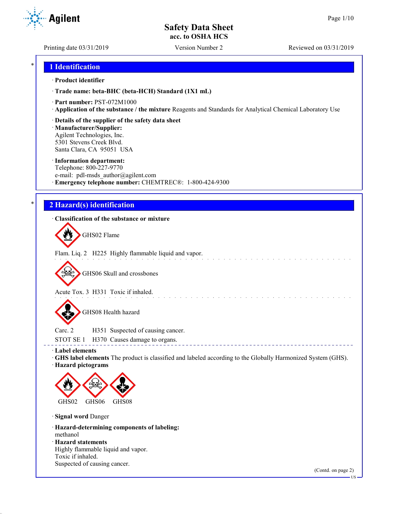**Agilent** 

Printing date 03/31/2019 Version Number 2 Reviewed on 03/31/2019

## \* **1 Identification**

## · **Product identifier**

· **Trade name: beta-BHC (beta-HCH) Standard (1X1 mL)**

- · **Part number:** PST-072M1000
- · **Application of the substance / the mixture** Reagents and Standards for Analytical Chemical Laboratory Use
- · **Details of the supplier of the safety data sheet**

· **Manufacturer/Supplier:** Agilent Technologies, Inc. 5301 Stevens Creek Blvd. Santa Clara, CA 95051 USA

## · **Information department:**

Telephone: 800-227-9770 e-mail: pdl-msds author@agilent.com · **Emergency telephone number:** CHEMTREC®: 1-800-424-9300

# \* **2 Hazard(s) identification**

· **Classification of the substance or mixture**

GHS02 Flame

Flam. Liq. 2 H225 Highly flammable liquid and vapor.

GHS06 Skull and crossbones

Acute Tox. 3 H331 Toxic if inhaled.

GHS08 Health hazard

Carc. 2 H351 Suspected of causing cancer. STOT SE 1 H370 Causes damage to organs.

· **Label elements**

· **GHS label elements** The product is classified and labeled according to the Globally Harmonized System (GHS). · **Hazard pictograms**

and a series of the contract of

----------------------------------



· **Signal word** Danger

· **Hazard-determining components of labeling:** methanol · **Hazard statements**

Highly flammable liquid and vapor. Toxic if inhaled. Suspected of causing cancer.

(Contd. on page 2)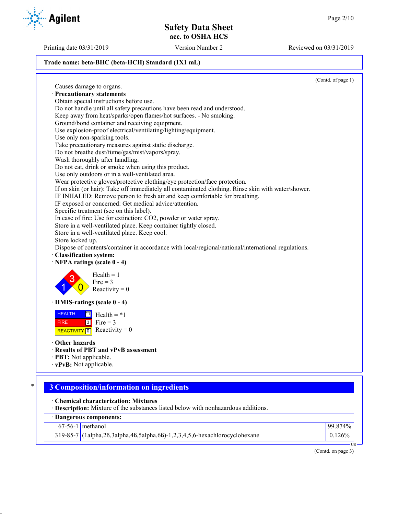Printing date 03/31/2019 Version Number 2 Reviewed on 03/31/2019

## **Trade name: beta-BHC (beta-HCH) Standard (1X1 mL)**

(Contd. of page 1) Causes damage to organs. · **Precautionary statements** Obtain special instructions before use. Do not handle until all safety precautions have been read and understood. Keep away from heat/sparks/open flames/hot surfaces. - No smoking. Ground/bond container and receiving equipment. Use explosion-proof electrical/ventilating/lighting/equipment. Use only non-sparking tools. Take precautionary measures against static discharge. Do not breathe dust/fume/gas/mist/vapors/spray. Wash thoroughly after handling. Do not eat, drink or smoke when using this product. Use only outdoors or in a well-ventilated area. Wear protective gloves/protective clothing/eye protection/face protection. If on skin (or hair): Take off immediately all contaminated clothing. Rinse skin with water/shower. IF INHALED: Remove person to fresh air and keep comfortable for breathing. IF exposed or concerned: Get medical advice/attention. Specific treatment (see on this label). In case of fire: Use for extinction: CO2, powder or water spray. Store in a well-ventilated place. Keep container tightly closed. Store in a well-ventilated place. Keep cool. Store locked up. Dispose of contents/container in accordance with local/regional/national/international regulations. · **Classification system:** · **NFPA ratings (scale 0 - 4)** 1 3  $\overline{0}$  $Health = 1$  $Fire = 3$ Reactivity  $= 0$ · **HMIS-ratings (scale 0 - 4) HEALTH**  FIRE REACTIVITY  $\boxed{0}$  Reactivity = 0  $\overline{1}$  $3$  Fire = 3 Health  $= *1$ · **Other hazards** · **Results of PBT and vPvB assessment** · **PBT:** Not applicable. · **vPvB:** Not applicable.

# \* **3 Composition/information on ingredients**

· **Chemical characterization: Mixtures**

· **Description:** Mixture of the substances listed below with nonhazardous additions.

| Dangerous components: |                                                                                          |           |
|-----------------------|------------------------------------------------------------------------------------------|-----------|
|                       | $67-56-1$ methanol                                                                       | 99.874%   |
|                       | $319-85-7$ (1alpha, 2ß, 3alpha, 4ß, 5alpha, 6ß) - 1, 2, 3, 4, 5, 6-hexachlorocyclohexane | $0.126\%$ |

(Contd. on page 3)

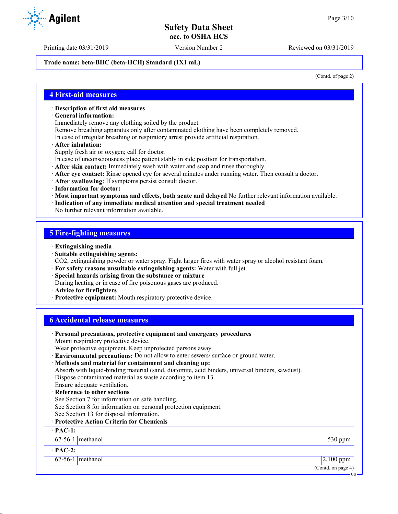Printing date 03/31/2019 Version Number 2 Reviewed on 03/31/2019

**Trade name: beta-BHC (beta-HCH) Standard (1X1 mL)**

(Contd. of page 2)

## **4 First-aid measures**

- · **Description of first aid measures**
- · **General information:**

Immediately remove any clothing soiled by the product.

Remove breathing apparatus only after contaminated clothing have been completely removed.

- In case of irregular breathing or respiratory arrest provide artificial respiration.
- · **After inhalation:**

Supply fresh air or oxygen; call for doctor.

- In case of unconsciousness place patient stably in side position for transportation.
- · **After skin contact:** Immediately wash with water and soap and rinse thoroughly.
- · **After eye contact:** Rinse opened eye for several minutes under running water. Then consult a doctor.
- · **After swallowing:** If symptoms persist consult doctor.
- · **Information for doctor:**
- · **Most important symptoms and effects, both acute and delayed** No further relevant information available.
- · **Indication of any immediate medical attention and special treatment needed**

No further relevant information available.

## **5 Fire-fighting measures**

- · **Extinguishing media**
- · **Suitable extinguishing agents:**
- CO2, extinguishing powder or water spray. Fight larger fires with water spray or alcohol resistant foam.
- · **For safety reasons unsuitable extinguishing agents:** Water with full jet
- · **Special hazards arising from the substance or mixture**
- During heating or in case of fire poisonous gases are produced.
- · **Advice for firefighters**
- · **Protective equipment:** Mouth respiratory protective device.

## **6 Accidental release measures**

· **Personal precautions, protective equipment and emergency procedures** Mount respiratory protective device. Wear protective equipment. Keep unprotected persons away. · **Environmental precautions:** Do not allow to enter sewers/ surface or ground water. · **Methods and material for containment and cleaning up:** Absorb with liquid-binding material (sand, diatomite, acid binders, universal binders, sawdust). Dispose contaminated material as waste according to item 13. Ensure adequate ventilation. **Reference to other sections** See Section 7 for information on safe handling. See Section 8 for information on personal protection equipment. See Section 13 for disposal information. · **Protective Action Criteria for Chemicals** · **PAC-1:** 67-56-1 methanol 530 ppm · **PAC-2:**  $67-56-1$  methanol 2,100 ppm (Contd. on page 4) US

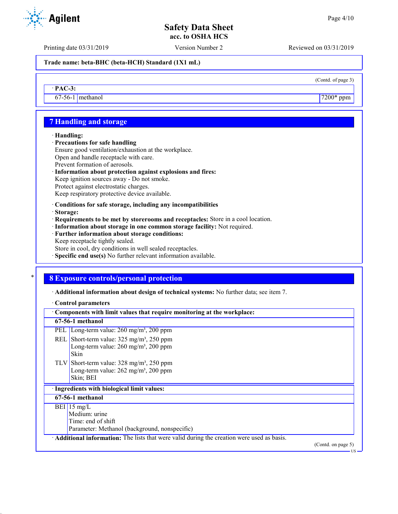(Contd. of page 3)

## **Safety Data Sheet acc. to OSHA HCS**

Printing date 03/31/2019 Version Number 2 Reviewed on 03/31/2019

**Trade name: beta-BHC (beta-HCH) Standard (1X1 mL)**

· **PAC-3:**

 $67-56-1$  methanol  $7200*$  ppm

## **7 Handling and storage**

### · **Handling:**

- · **Precautions for safe handling**
- Ensure good ventilation/exhaustion at the workplace.
- Open and handle receptacle with care. Prevent formation of aerosols.
- · **Information about protection against explosions and fires:**
- Keep ignition sources away Do not smoke. Protect against electrostatic charges.
- Keep respiratory protective device available.
- · **Conditions for safe storage, including any incompatibilities**
- · **Storage:**
- · **Requirements to be met by storerooms and receptacles:** Store in a cool location.
- · **Information about storage in one common storage facility:** Not required.
- · **Further information about storage conditions:**
- Keep receptacle tightly sealed.
- Store in cool, dry conditions in well sealed receptacles.
- · **Specific end use(s)** No further relevant information available.

## \* **8 Exposure controls/personal protection**

· **Additional information about design of technical systems:** No further data; see item 7.

## · **Control parameters**

| Components with limit values that require monitoring at the workplace: |                                                                                                                                          |                    |
|------------------------------------------------------------------------|------------------------------------------------------------------------------------------------------------------------------------------|--------------------|
|                                                                        | 67-56-1 methanol                                                                                                                         |                    |
|                                                                        | PEL   Long-term value: $260 \text{ mg/m}^3$ , $200 \text{ ppm}$                                                                          |                    |
|                                                                        | REL Short-term value: $325 \text{ mg/m}^3$ , $250 \text{ ppm}$<br>Long-term value: $260 \text{ mg/m}^3$ , $200 \text{ ppm}$<br>Skin      |                    |
|                                                                        | TLV Short-term value: $328 \text{ mg/m}^3$ , $250 \text{ ppm}$<br>Long-term value: $262 \text{ mg/m}^3$ , $200 \text{ ppm}$<br>Skin; BEI |                    |
|                                                                        | · Ingredients with biological limit values:                                                                                              |                    |
|                                                                        | 67-56-1 methanol                                                                                                                         |                    |
|                                                                        | BEI 15 mg/L<br>Medium: urine<br>Time: end of shift<br>Parameter: Methanol (background, nonspecific)                                      |                    |
|                                                                        | Additional information: The lists that were valid during the creation were used as basis.                                                | (Contd. on page 5) |

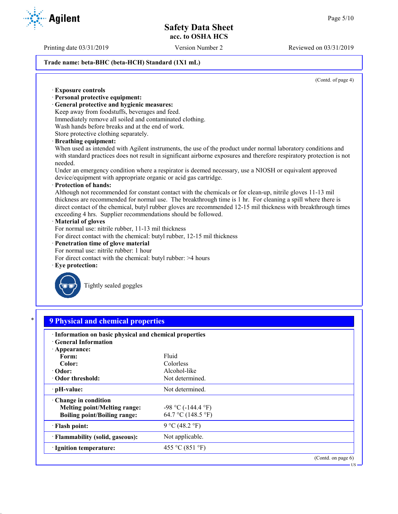Printing date 03/31/2019 Version Number 2 Reviewed on 03/31/2019

## **Trade name: beta-BHC (beta-HCH) Standard (1X1 mL)**

(Contd. of page 4)

|         | <b>Exposure controls</b>                                                                                                                                                                                                                                                                                                                                                                                       |
|---------|----------------------------------------------------------------------------------------------------------------------------------------------------------------------------------------------------------------------------------------------------------------------------------------------------------------------------------------------------------------------------------------------------------------|
|         | · Personal protective equipment:                                                                                                                                                                                                                                                                                                                                                                               |
|         | · General protective and hygienic measures:                                                                                                                                                                                                                                                                                                                                                                    |
|         | Keep away from foodstuffs, beverages and feed.                                                                                                                                                                                                                                                                                                                                                                 |
|         | Immediately remove all soiled and contaminated clothing.                                                                                                                                                                                                                                                                                                                                                       |
|         | Wash hands before breaks and at the end of work.                                                                                                                                                                                                                                                                                                                                                               |
|         | Store protective clothing separately.                                                                                                                                                                                                                                                                                                                                                                          |
|         | · Breathing equipment:                                                                                                                                                                                                                                                                                                                                                                                         |
| needed. | When used as intended with Agilent instruments, the use of the product under normal laboratory conditions and<br>with standard practices does not result in significant airborne exposures and therefore respiratory protection is not                                                                                                                                                                         |
|         | Under an emergency condition where a respirator is deemed necessary, use a NIOSH or equivalent approved<br>device/equipment with appropriate organic or acid gas cartridge.                                                                                                                                                                                                                                    |
|         | · Protection of hands:                                                                                                                                                                                                                                                                                                                                                                                         |
|         | Although not recommended for constant contact with the chemicals or for clean-up, nitrile gloves 11-13 mil<br>thickness are recommended for normal use. The breakthrough time is 1 hr. For cleaning a spill where there is<br>direct contact of the chemical, butyl rubber gloves are recommended 12-15 mil thickness with breakthrough times<br>exceeding 4 hrs. Supplier recommendations should be followed. |
|         | · Material of gloves                                                                                                                                                                                                                                                                                                                                                                                           |
|         | For normal use: nitrile rubber, 11-13 mil thickness                                                                                                                                                                                                                                                                                                                                                            |
|         | For direct contact with the chemical: butyl rubber, 12-15 mil thickness                                                                                                                                                                                                                                                                                                                                        |
|         | · Penetration time of glove material                                                                                                                                                                                                                                                                                                                                                                           |
|         | For normal use: nitrile rubber: 1 hour                                                                                                                                                                                                                                                                                                                                                                         |
|         | For direct contact with the chemical: butyl rubber: >4 hours                                                                                                                                                                                                                                                                                                                                                   |
|         | $\cdot$ Eye protection:                                                                                                                                                                                                                                                                                                                                                                                        |
|         | Tightly sealed goggles                                                                                                                                                                                                                                                                                                                                                                                         |
|         | <b>9 Physical and chemical properties</b>                                                                                                                                                                                                                                                                                                                                                                      |

| · Information on basic physical and chemical properties |
|---------------------------------------------------------|
|                                                         |

| <b>General Information</b>                                                                        |                                               |                    |
|---------------------------------------------------------------------------------------------------|-----------------------------------------------|--------------------|
| Appearance:                                                                                       |                                               |                    |
| Form:                                                                                             | Fluid                                         |                    |
| Color:                                                                                            | Colorless                                     |                    |
| $\cdot$ Odor:                                                                                     | Alcohol-like                                  |                    |
| Odor threshold:                                                                                   | Not determined.                               |                    |
| $\cdot$ pH-value:                                                                                 | Not determined.                               |                    |
| Change in condition<br><b>Melting point/Melting range:</b><br><b>Boiling point/Boiling range:</b> | $-98$ °C ( $-144.4$ °F)<br>64.7 °C (148.5 °F) |                    |
| · Flash point:                                                                                    | 9 °C (48.2 °F)                                |                    |
| · Flammability (solid, gaseous):                                                                  | Not applicable.                               |                    |
| · Ignition temperature:                                                                           | 455 °C (851 °F)                               |                    |
|                                                                                                   |                                               | (Contd. on page 6) |

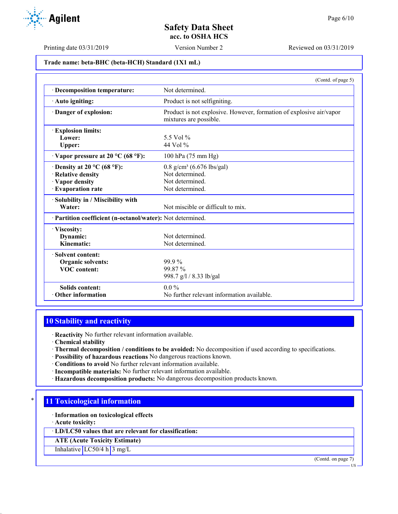

Printing date 03/31/2019 Version Number 2 Reviewed on 03/31/2019

**Trade name: beta-BHC (beta-HCH) Standard (1X1 mL)**

|                                                                                                  | (Contd. of page 5)                                                                               |
|--------------------------------------------------------------------------------------------------|--------------------------------------------------------------------------------------------------|
| · Decomposition temperature:                                                                     | Not determined.                                                                                  |
| · Auto igniting:                                                                                 | Product is not selfigniting.                                                                     |
| Danger of explosion:                                                                             | Product is not explosive. However, formation of explosive air/vapor<br>mixtures are possible.    |
| <b>Explosion limits:</b><br>Lower:<br>Upper:                                                     | 5.5 Vol %<br>44 Vol %                                                                            |
| $\cdot$ Vapor pressure at 20 °C (68 °F):                                                         | 100 hPa (75 mm Hg)                                                                               |
| $\cdot$ Density at 20 °C (68 °F):<br>· Relative density<br>· Vapor density<br>· Evaporation rate | $0.8$ g/cm <sup>3</sup> (6.676 lbs/gal)<br>Not determined.<br>Not determined.<br>Not determined. |
| · Solubility in / Miscibility with<br>Water:                                                     | Not miscible or difficult to mix.                                                                |
| · Partition coefficient (n-octanol/water): Not determined.                                       |                                                                                                  |
| · Viscosity:<br>Dynamic:<br>Kinematic:                                                           | Not determined.<br>Not determined.                                                               |
| · Solvent content:<br><b>Organic solvents:</b><br><b>VOC</b> content:                            | $99.9\%$<br>99.87%<br>998.7 g/l / 8.33 lb/gal                                                    |
| <b>Solids content:</b><br>$\cdot$ Other information                                              | $0.0\%$<br>No further relevant information available.                                            |

# **10 Stability and reactivity**

· **Reactivity** No further relevant information available.

· **Chemical stability**

- · **Thermal decomposition / conditions to be avoided:** No decomposition if used according to specifications.
- · **Possibility of hazardous reactions** No dangerous reactions known.
- · **Conditions to avoid** No further relevant information available.
- · **Incompatible materials:** No further relevant information available.
- · **Hazardous decomposition products:** No dangerous decomposition products known.

## **11 Toxicological information**

- · **Information on toxicological effects**
- · **Acute toxicity:**

· **LD/LC50 values that are relevant for classification:**

**ATE (Acute Toxicity Estimate)**

Inhalative LC50/4 h 3 mg/L

(Contd. on page 7)

US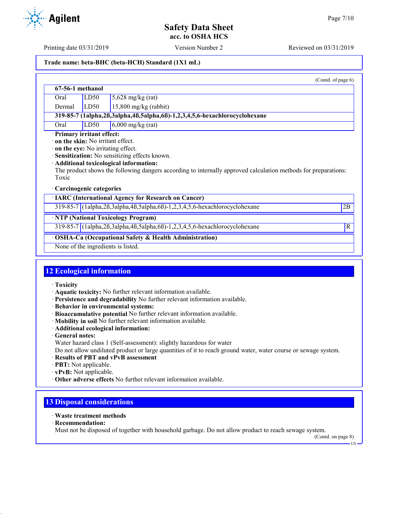Printing date 03/31/2019 Version Number 2 Reviewed on 03/31/2019

## **Trade name: beta-BHC (beta-HCH) Standard (1X1 mL)**

|                                  |      |                                                                                                                                                                                                                                                  | (Contd. of page 6) |
|----------------------------------|------|--------------------------------------------------------------------------------------------------------------------------------------------------------------------------------------------------------------------------------------------------|--------------------|
| 67-56-1 methanol                 |      |                                                                                                                                                                                                                                                  |                    |
| Oral                             | LD50 | $5,628$ mg/kg (rat)                                                                                                                                                                                                                              |                    |
| Dermal                           | LD50 | $15,800$ mg/kg (rabbit)                                                                                                                                                                                                                          |                    |
|                                  |      | 319-85-7 (1alpha, 2ß, 3alpha, 4ß, 5alpha, 6ß) - 1, 2, 3, 4, 5, 6-hexachlorocyclohexane                                                                                                                                                           |                    |
| Oral                             | LD50 | $6,000$ mg/kg (rat)                                                                                                                                                                                                                              |                    |
| Toxic<br>Carcinogenic categories |      | on the eye: No irritating effect.<br>· Sensitization: No sensitizing effects known.<br>· Additional toxicological information:<br>The product shows the following dangers according to internally approved calculation methods for preparations: |                    |
|                                  |      | <b>IARC</b> (International Agency for Research on Cancer)                                                                                                                                                                                        |                    |
|                                  |      | $319-85-7$ (1alpha, 2B, 3alpha, 4B, 5alpha, 6B) -1, 2, 3, 4, 5, 6-hexachlorocyclohexane                                                                                                                                                          | 2B                 |
|                                  |      | · NTP (National Toxicology Program)                                                                                                                                                                                                              |                    |
|                                  |      | $319-85-7$ (1alpha, 2B, 3alpha, 4B, 5alpha, 6B) -1, 2, 3, 4, 5, 6-hexachlorocyclohexane                                                                                                                                                          | $\mathbb{R}$       |
|                                  |      | OSHA-Ca (Occupational Safety & Health Administration)                                                                                                                                                                                            |                    |

None of the ingredients is listed.

## **12 Ecological information**

- · **Toxicity**
- · **Aquatic toxicity:** No further relevant information available.
- · **Persistence and degradability** No further relevant information available.
- · **Behavior in environmental systems:**
- · **Bioaccumulative potential** No further relevant information available.
- · **Mobility in soil** No further relevant information available.
- · **Additional ecological information:**
- · **General notes:**
- Water hazard class 1 (Self-assessment): slightly hazardous for water

Do not allow undiluted product or large quantities of it to reach ground water, water course or sewage system.

- · **Results of PBT and vPvB assessment**
- · **PBT:** Not applicable.
- · **vPvB:** Not applicable.
- · **Other adverse effects** No further relevant information available.

## **13 Disposal considerations**

- · **Waste treatment methods**
- · **Recommendation:**

Must not be disposed of together with household garbage. Do not allow product to reach sewage system.

(Contd. on page 8)

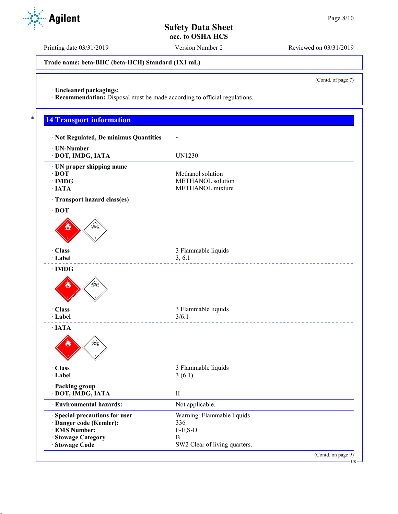Printing date 03/31/2019 Version Number 2 Reviewed on 03/31/2019

**Trade name: beta-BHC (beta-HCH) Standard (1X1 mL)**

(Contd. of page 7)

· **Uncleaned packagings:**

· **Recommendation:** Disposal must be made according to official regulations.

# **14 Transport information**

| · Not Regulated, De minimus Quantities |                               |
|----------------------------------------|-------------------------------|
| · UN-Number                            |                               |
| · DOT, IMDG, IATA                      | <b>UN1230</b>                 |
| · UN proper shipping name              |                               |
| $\cdot$ DOT                            | Methanol solution             |
| $\cdot$ IMDG                           | METHANOL solution             |
| $\cdot$ IATA                           | METHANOL mixture              |
| · Transport hazard class(es)           |                               |
| $\cdot$ DOT                            |                               |
|                                        |                               |
| · Class                                | 3 Flammable liquids           |
| · Label                                | 3, 6.1                        |
| $\cdot$ IMDG                           |                               |
|                                        |                               |
| · Class<br>· Label                     | 3 Flammable liquids<br>3/6.1  |
| $\cdot$ IATA                           |                               |
|                                        |                               |
| · Class                                | 3 Flammable liquids           |
| · Label                                | 3(6.1)                        |
| · Packing group                        |                               |
| · DOT, IMDG, IATA                      | $\rm II$                      |
| · Environmental hazards:               | Not applicable.               |
| · Special precautions for user         | Warning: Flammable liquids    |
| · Danger code (Kemler):                | 336                           |
| · EMS Number:                          | $F-E, S-D$                    |
| · Stowage Category                     | B                             |
| · Stowage Code                         | SW2 Clear of living quarters. |
|                                        | (Contd. on page 9)            |

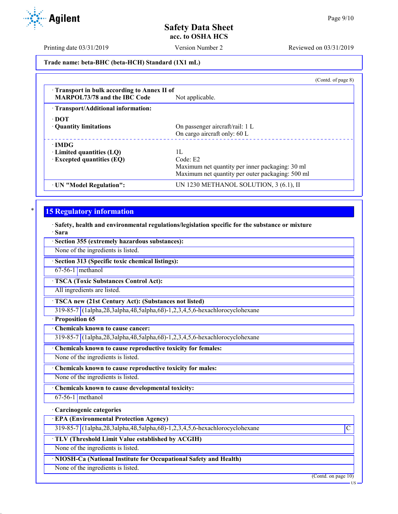Printing date 03/31/2019 Version Number 2 Reviewed on 03/31/2019

**Trade name: beta-BHC (beta-HCH) Standard (1X1 mL)**

|                                                                                   | (Contd. of page 8)                                              |
|-----------------------------------------------------------------------------------|-----------------------------------------------------------------|
| Transport in bulk according to Annex II of<br><b>MARPOL73/78 and the IBC Code</b> | Not applicable.                                                 |
| · Transport/Additional information:                                               |                                                                 |
| ∙ DOT<br>• Quantity limitations                                                   | On passenger aircraft/rail: 1 L<br>On cargo aircraft only: 60 L |
| $\cdot$ IMDG                                                                      |                                                                 |
| $\cdot$ Limited quantities (LQ)                                                   | Н.                                                              |
| $\cdot$ Excepted quantities (EQ)                                                  | Code: E2                                                        |
|                                                                                   | Maximum net quantity per inner packaging: 30 ml                 |
|                                                                                   | Maximum net quantity per outer packaging: 500 ml                |
| · UN "Model Regulation":                                                          | UN 1230 METHANOL SOLUTION, 3 (6.1), II                          |

## **15 Regulatory information**

· **Safety, health and environmental regulations/legislation specific for the substance or mixture** · **Sara**

· **Section 355 (extremely hazardous substances):**

None of the ingredients is listed.

· **Section 313 (Specific toxic chemical listings):**

67-56-1 methanol

· **TSCA (Toxic Substances Control Act):**

All ingredients are listed.

· **TSCA new (21st Century Act): (Substances not listed)**

319-85-7 (1alpha,2ß,3alpha,4ß,5alpha,6ß)-1,2,3,4,5,6-hexachlorocyclohexane

· **Proposition 65**

· **Chemicals known to cause cancer:**

319-85-7 (1alpha,2ß,3alpha,4ß,5alpha,6ß)-1,2,3,4,5,6-hexachlorocyclohexane

· **Chemicals known to cause reproductive toxicity for females:**

None of the ingredients is listed.

· **Chemicals known to cause reproductive toxicity for males:**

None of the ingredients is listed.

· **Chemicals known to cause developmental toxicity:**

67-56-1 methanol

### · **Carcinogenic categories**

· **EPA (Environmental Protection Agency)**

319-85-7 (1alpha,2ß,3alpha,4ß,5alpha,6ß)-1,2,3,4,5,6-hexachlorocyclohexane C

· **TLV (Threshold Limit Value established by ACGIH)**

None of the ingredients is listed.

· **NIOSH-Ca (National Institute for Occupational Safety and Health)**

None of the ingredients is listed.

(Contd. on page 10)